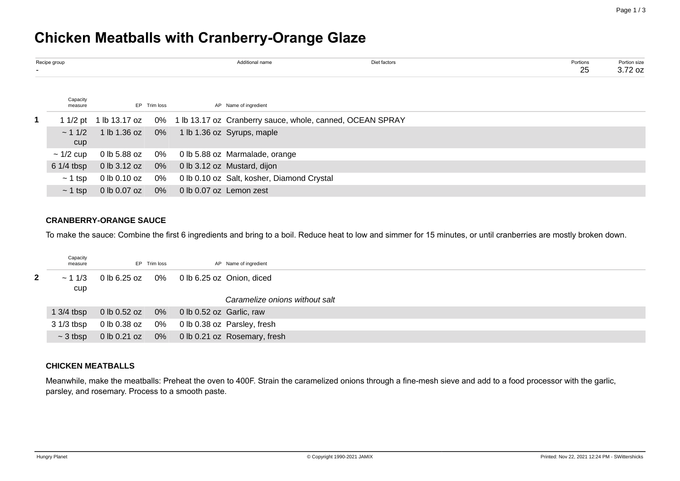# **Chicken Meatballs with Cranberry-Orange Glaze**

| Recipe group        |              |              |                            | Additional name                            | Diet factors                                                                        | Portions<br>25 | Portion size<br>$3.72$ oz |
|---------------------|--------------|--------------|----------------------------|--------------------------------------------|-------------------------------------------------------------------------------------|----------------|---------------------------|
| Capacity<br>measure |              | EP Trim loss |                            | AP Name of ingredient                      |                                                                                     |                |                           |
|                     |              |              |                            |                                            | 1 1/2 pt 1 lb 13.17 oz 0% 1 lb 13.17 oz Cranberry sauce, whole, canned, OCEAN SPRAY |                |                           |
| $\sim$ 1 1/2<br>cup |              |              |                            | 1 lb 1.36 oz 0% 1 lb 1.36 oz Syrups, maple |                                                                                     |                |                           |
| $\sim$ 1/2 cup      | 0 lb 5.88 oz |              |                            | 0% 0 lb 5.88 oz Marmalade, orange          |                                                                                     |                |                           |
| $61/4$ tbsp         | 0 lb 3.12 oz |              |                            | 0% 0 lb 3.12 oz Mustard, dijon             |                                                                                     |                |                           |
| $\sim$ 1 tsp        | 0 lb 0.10 oz | 0%           |                            | 0 lb 0.10 oz Salt, kosher, Diamond Crystal |                                                                                     |                |                           |
| $\sim$ 1 tsp        | 0 lb 0.07 oz |              | 0% 0 lb 0.07 oz Lemon zest |                                            |                                                                                     |                |                           |

# **CRANBERRY-ORANGE SAUCE**

To make the sauce: Combine the first 6 ingredients and bring to a boil. Reduce heat to low and simmer for 15 minutes, or until cranberries are mostly broken down.

|    | Capacity<br>measure |                                           | EP Trim loss | AP Name of ingredient                        |
|----|---------------------|-------------------------------------------|--------------|----------------------------------------------|
| 2. | $\sim$ 1 1/3<br>cup | 0 lb 6.25 oz 0% 0 lb 6.25 oz Onion, diced |              |                                              |
|    |                     |                                           |              | Caramelize onions without salt               |
|    | 1 $3/4$ tbsp        | 0 lb 0.52 oz 0% 0 lb 0.52 oz Garlic, raw  |              |                                              |
|    | $31/3$ tbsp         |                                           |              | 0 lb 0.38 oz 0% 0 lb 0.38 oz Parsley, fresh  |
|    | $\sim$ 3 tbsp       |                                           |              | 0 lb 0.21 oz 0% 0 lb 0.21 oz Rosemary, fresh |

#### **CHICKEN MEATBALLS**

Meanwhile, make the meatballs: Preheat the oven to 400F. Strain the caramelized onions through a fine-mesh sieve and add to a food processor with the garlic, parsley, and rosemary. Process to a smooth paste.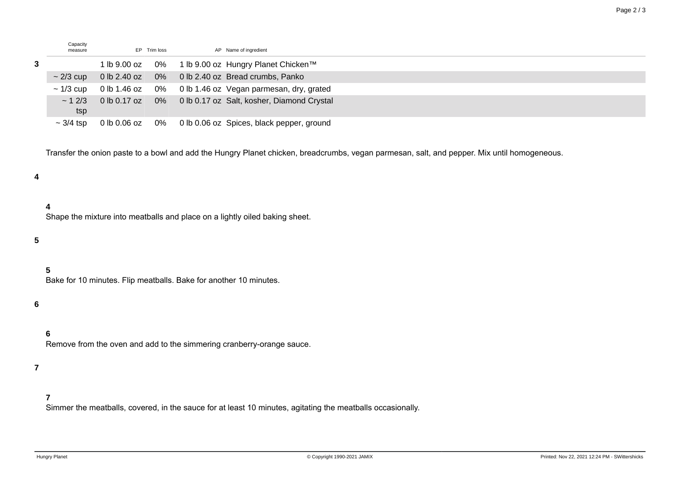| Capacity<br>measure | EP Trim loss | AP Name of ingredient                                                   |
|---------------------|--------------|-------------------------------------------------------------------------|
|                     |              | 1 lb 9.00 oz 0% 1 lb 9.00 oz Hungry Planet Chicken™                     |
| $\sim$ 2/3 cup      |              | 0 lb 2.40 oz 0% 0 lb 2.40 oz Bread crumbs, Panko                        |
| $\sim$ 1/3 cup      |              | 0 lb 1.46 oz 0% 0 lb 1.46 oz Vegan parmesan, dry, grated                |
| tsp                 |              | $\sim$ 1 2/3 0 lb 0.17 oz 0% 0 lb 0.17 oz Salt, kosher, Diamond Crystal |
| $\sim$ 3/4 tsp      |              | 0 lb 0.06 oz 0% 0 lb 0.06 oz Spices, black pepper, ground               |

Transfer the onion paste to a bowl and add the Hungry Planet chicken, breadcrumbs, vegan parmesan, salt, and pepper. Mix until homogeneous.

## **4**

#### **4**

Shape the mixture into meatballs and place on a lightly oiled baking sheet.

## **5**

# **5**

Bake for 10 minutes. Flip meatballs. Bake for another 10 minutes.

#### **6**

# **6**

Remove from the oven and add to the simmering cranberry-orange sauce.

#### **7**

# **7**

Simmer the meatballs, covered, in the sauce for at least 10 minutes, agitating the meatballs occasionally.